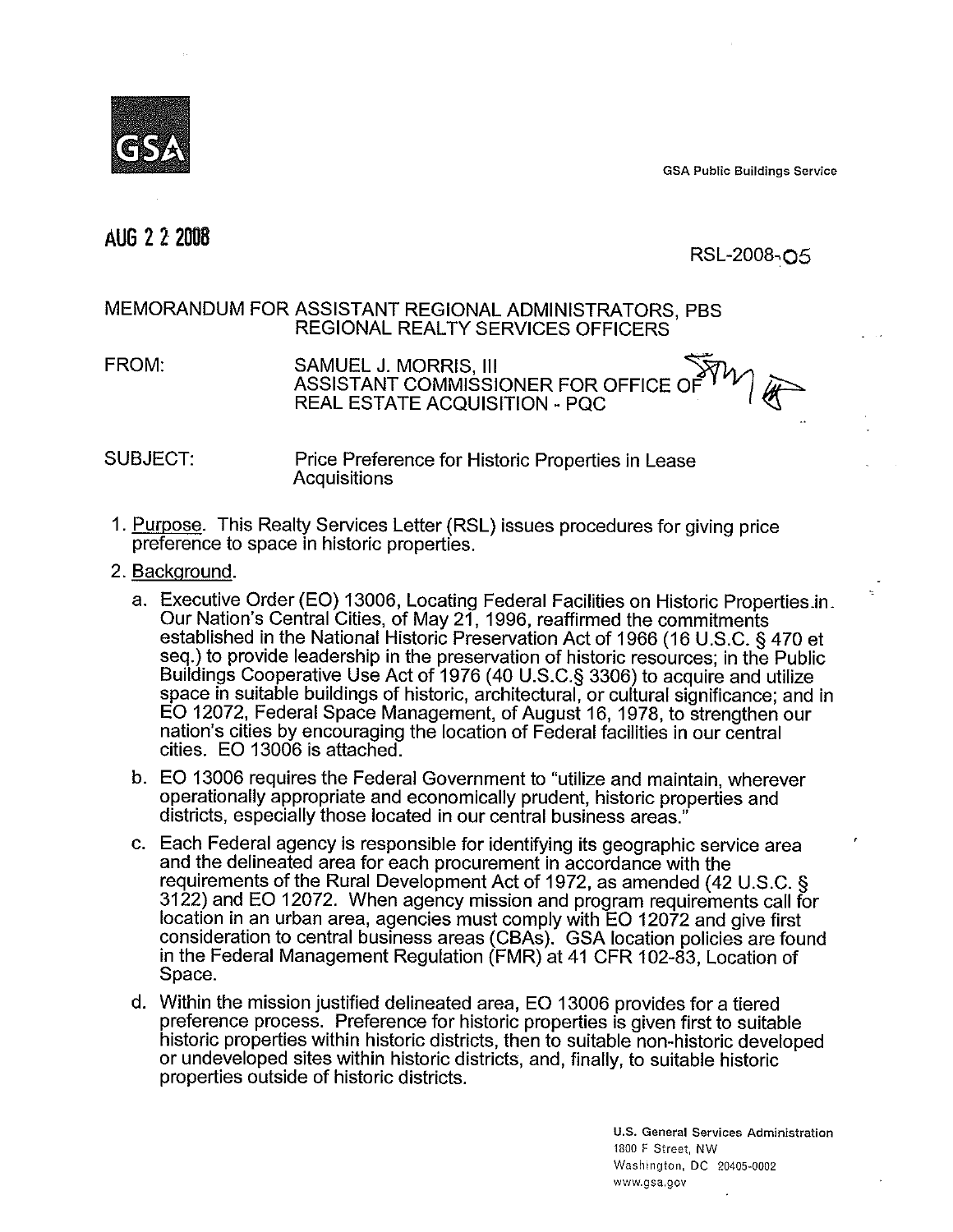GSA Public Buildings Service

# AUG 2 2 2008

 $RSL-2008-<sub>05</sub>$ 

## MEMORANDUM FOR ASSISTANT REGIONAL ADMINISTRATORS, PBS REGIONAL REALTY SERVICES OFFICERS

SAMUEL J. MORRIS, III ASSISTANT COMMISSIONER FOR OFFICE OF REAL ESTATE ACQUISITION - PQC FROM:

## SUBJECT: Price Preference for Historic Properties in Lease **Acquisitions**

- 1. Purpose. This Realty Services Letter (RSL) issues procedures for giving price preference to space in historic properties.
- 2. Background.
	- a. Executive Order (EO) 13006, Locating Federal Facilities on Historic Properties\_in\_ Our Nation's Central Cities, of May 21, 1996, reaffirmed the commitments established in the National Historic Preservation Act of 1966 (16 U.S.C. § 470 et seq.) to provide leadership in the preservation of historic resources; in the Public Buildings Cooperative Use Act of 1976 (40 U.S.C.§ 3306) to acquire and utilize space in suitable buildings of historic, architectural, or cultural significance; and in EO 12072, Federal Space Management, of August 16, 1978, to strengthen our nation's cities by encouraging the location of Federal facilities in our central cities. EO 13006 is attached.
	- b. EO 13006 requires the Federal Government to "utilize and maintain, wherever operationally appropriate and economically prudent, historic properties and districts, especially those located in our central business areas."
	- c. Each Federal agency is responsible for identifying its geographic service area and the delineated area for each procurement in accordance with the requirements of the Rural Development Act of 1972, as amended (42 U.S.C. § 3122) and EO 12072. When agency mission and program requirements call for location in an urban area, agencies must comply with EO 12072 and give first consideration to central business areas (CBAs). GSA location policies are found in the Federal Management Regulation (FMR) at 41 CFR 102-83, Location of Space.
	- d. Within the mission justified delineated area, EO 13006 provides for a tiered preference process. Preference for historic properties is given first to suitable historic properties within historic districts, then to suitable non-historic developed or undeveloped sites within historic districts, and, finally, to suitable historic properties outside of historic districts.

U.S. General Services Administration 1800 F Street, NW Washington, DC 20405.0002 www.gsa.gov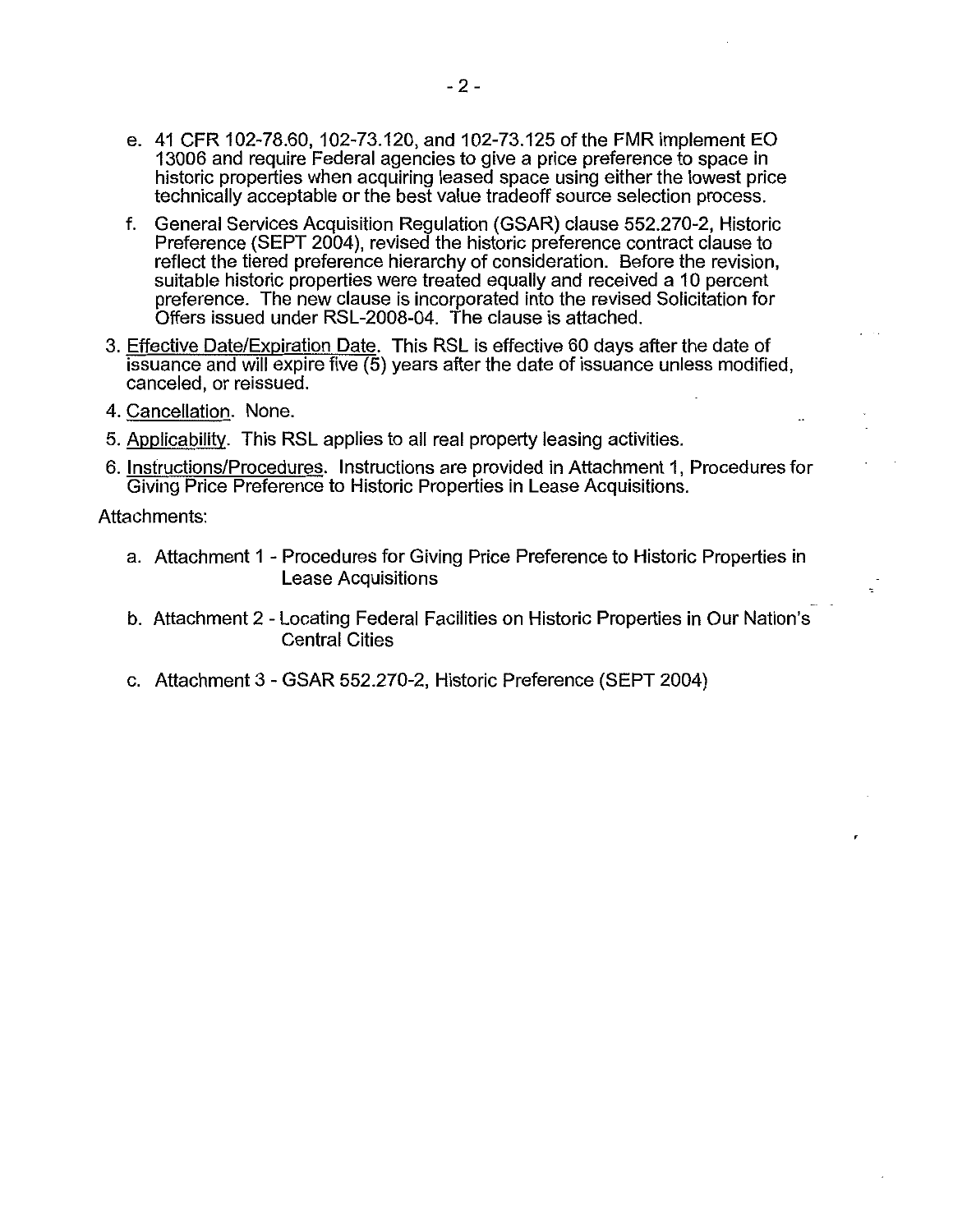- e. 41 CFR 102-78.60, 102-73.120, and 102-73.125 of the FMR implement EO 13006 and require Federal agencies to give a price preference to space in historic properties when acquiring leased space using either the lowest price technically acceptable or the best value tradeoff source selection process.
- f. General Services Acquisition Regulation (GSAR) clause 552.270-2, Historic Preference (SEPT 2004), revised the historic preference contract clause to reflect the tiered preference hierarchy of consideration. Before the revision, suitable historic properties were treated equally and received a 10 percent preference. The new clause is incorporated into the revised Solicitation for Offers issued under RSL-2008-04. The clause is attached.
- 3. Effective Date/Expiration Date. This RSL is effective 60 days after the date of issuance and will expire five (5) years after the date of issuance unless modified, canceled, or reissued.
- 4. Cancellation. None.
- 5. Applicability. This RSL applies to all real property leasing activities.
- 6. Instructions/Procedures. Instructions are provided in Attachment 1, Procedures for Giving Price Preference to Historic Properties in Lease Acquisitions.

Attachments:

- a. Attachment 1 Procedures for Giving Price Preference to Historic Properties in Lease Acquisitions
- b. Attachment 2 Locating Federal Facilities on Historic Properties in Our Nation's Central Cities
- c. Attachment 3 GSAR 552.270-2, Historic Preference (SEPT 2004)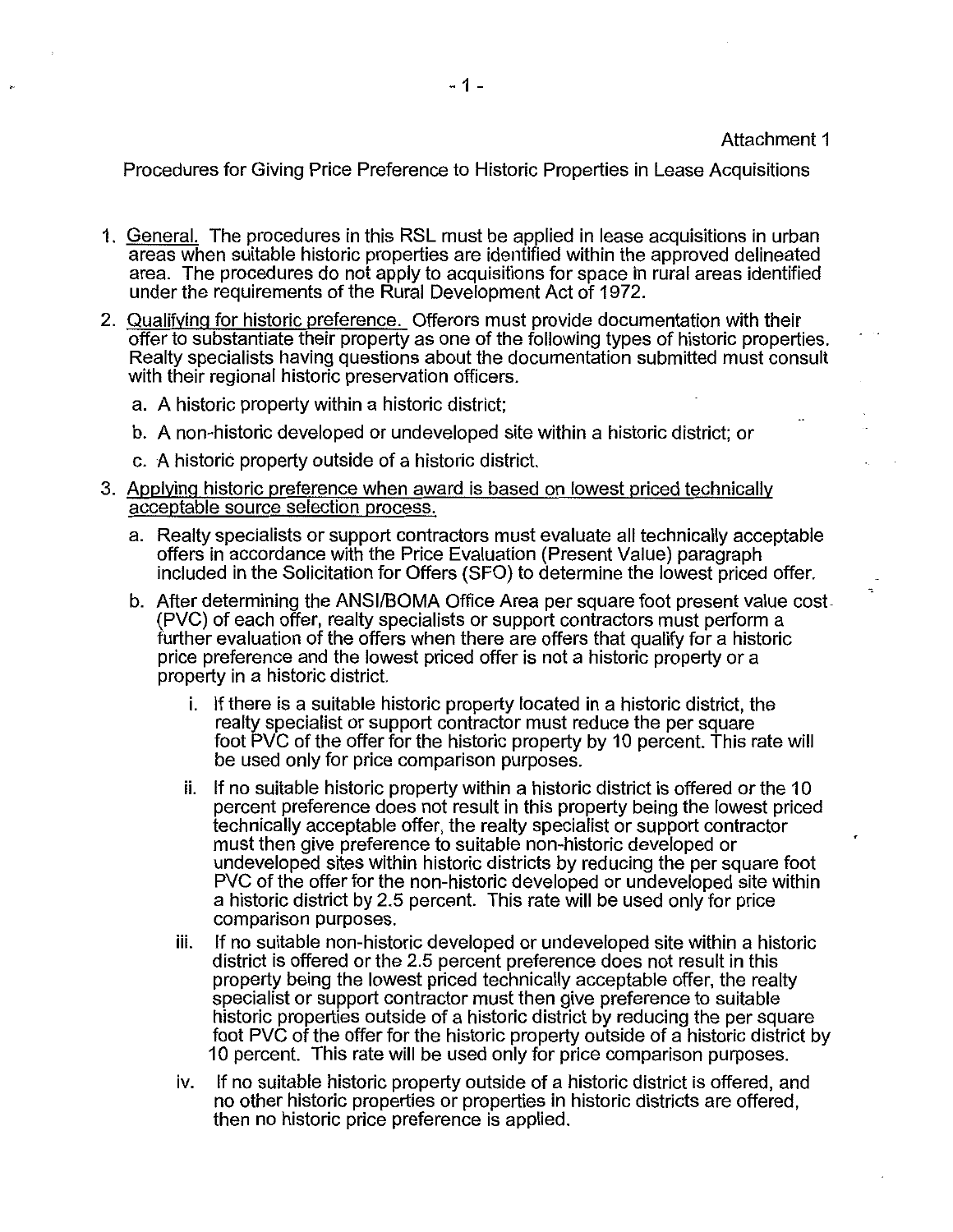#### Attachment 1

Procedures for Giving Price Preference to Historic Properties in Lease Acquisitions

- 1. General. The procedures in this RSL must be applied in lease acquisitions in urban areas when suitable historic properties are identified within the approved delineated area. The procedures do not apply to acquisitions for space in rural areas identified under the requirements of the Rural Development Act of 1972.
- 2. Qualifying for historic preference. Offerors must provide documentation with their offer to substantiate their property as one of the following types of historic properties. Realty specialists having questions about the documentation submitted must consult with their regional historic preservation officers.
	- a. A historic property within a historic district;
	- b. A non-historic developed or undeveloped site within a historic district; or
	- c. A historic property outside of a historic district.
- 3. Applying historic preference when award is based on lowest priced technically acceptable source selection process.
	- a. Realty specialists or support contractors must evaluate all technically acceptable offers in accordance with the Price Evaluation (Present Value) paragraph included in the Solicitation for Offers (SFO) to determine the lowest priced offer.
	- b. After determining the ANSI/BOMA Office Area per square foot present value cost- (PVC) of each offer, realty specialists or support contractors must perform a further evaluation of the offers when there are offers that qualify for a historic price preference and the lowest priced offer is not a historic property or a property in a historic district.
		- i. If there is a suitable historic property located in a historic district, the realty specialist or support contractor must reduce the per square foot PVC of the offer for the historic property by 10 percent. This rate will be used only for price comparison purposes.
		- ii. If no suitable historic property within a historic district is offered or the 10 percent preference does not result in this property being the lowest priced technically acceptable offer, the realty specialist or support contractor must then give preference to suitable non-historic developed or undeveloped sites within historic districts by reducing the per square foot PVC of the offer for the non-historic developed or undeveloped site within a historic district by 2.5 percent. This rate will be used only for price comparison purposes.
		- iii. If no suitable non-historic developed or undeveloped site within a historic district is offered or the 2.5 percent preference does not result in this property being the lowest priced technically acceptable offer, the realty specialist or support contractor must then give preference to suitable historic properties outside of a historic district by reducing the per square foot PVC of the offer for the historic property outside of a historic district by 10 percent. This rate will be used only for price comparison purposes.
		- iv. If no suitable historic property outside of a historic district is offered, and no other historic properties or properties in historic districts are offered, then no historic price preference is applied.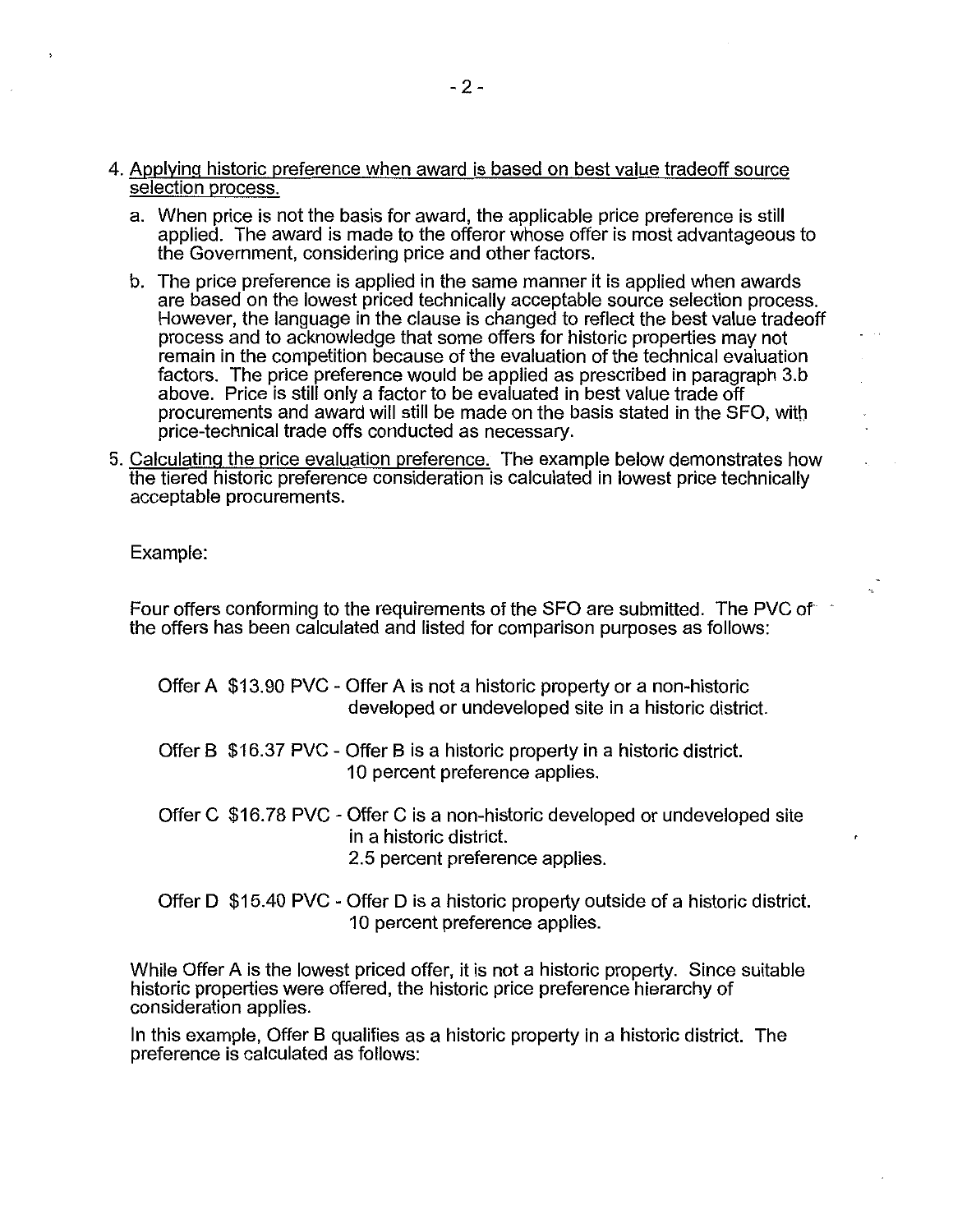- 4. Applying historic preference when award is based on best value tradeoff source selection process.
	- a. When price is not the basis for award, the applicable price preference is still applied. The award is made to the offeror whose offer is most advantageous to the Government, considering price and other factors.
	- b. The price preference is applied in the same manner it is applied when awards are based on the lowest priced technically acceptable source selection process. However, the language in the clause is changed to reflect the best value tradeoff process and to acknowledge that some offers for historic properties may not remain in the competition because of the evaluation of the technical evaluation factors. The price preference would be applied as prescribed in paragraph 3.b above. Price is still only a factor to be evaluated in best value trade off procurements and award will still be made on the basis stated in the SFO, with price-technical trade offs conducted as necessary.
- 5. Calculating the price evaluation preference. The example below demonstrates how the tiered historic preference consideration is calculated in lowest price technically acceptable procurements.

Example:

Four offers conforming to the requirements of the SFO are submitted. The PVC of  $\tilde{ }$ the offers has been calculated and listed for comparison purposes as follows:

- Offer A \$13.90 PVC Offer A is not a historic property or a non-historic developed or undeveloped site in a historic district.
- Offer B \$16.37 PVC Offer B is a historic property in a historic district. 10 percent preference applies.
- Offer C \$16.78 PVC Offer C is a non-historic developed or undeveloped site in a historic district. 2.5 percent preference applies.
- Offer **D** \$15.40 PVC Offer **D** is a historic property outside of a historic district. 10 percent preference applies.

While Offer A is the lowest priced offer, it is not a historic property. Since suitable historic properties were offered, the historic price preference hierarchy of consideration applies.

In this example, Offer **B** qualifies as a historic property in a historic district. The preference is calculated as follows: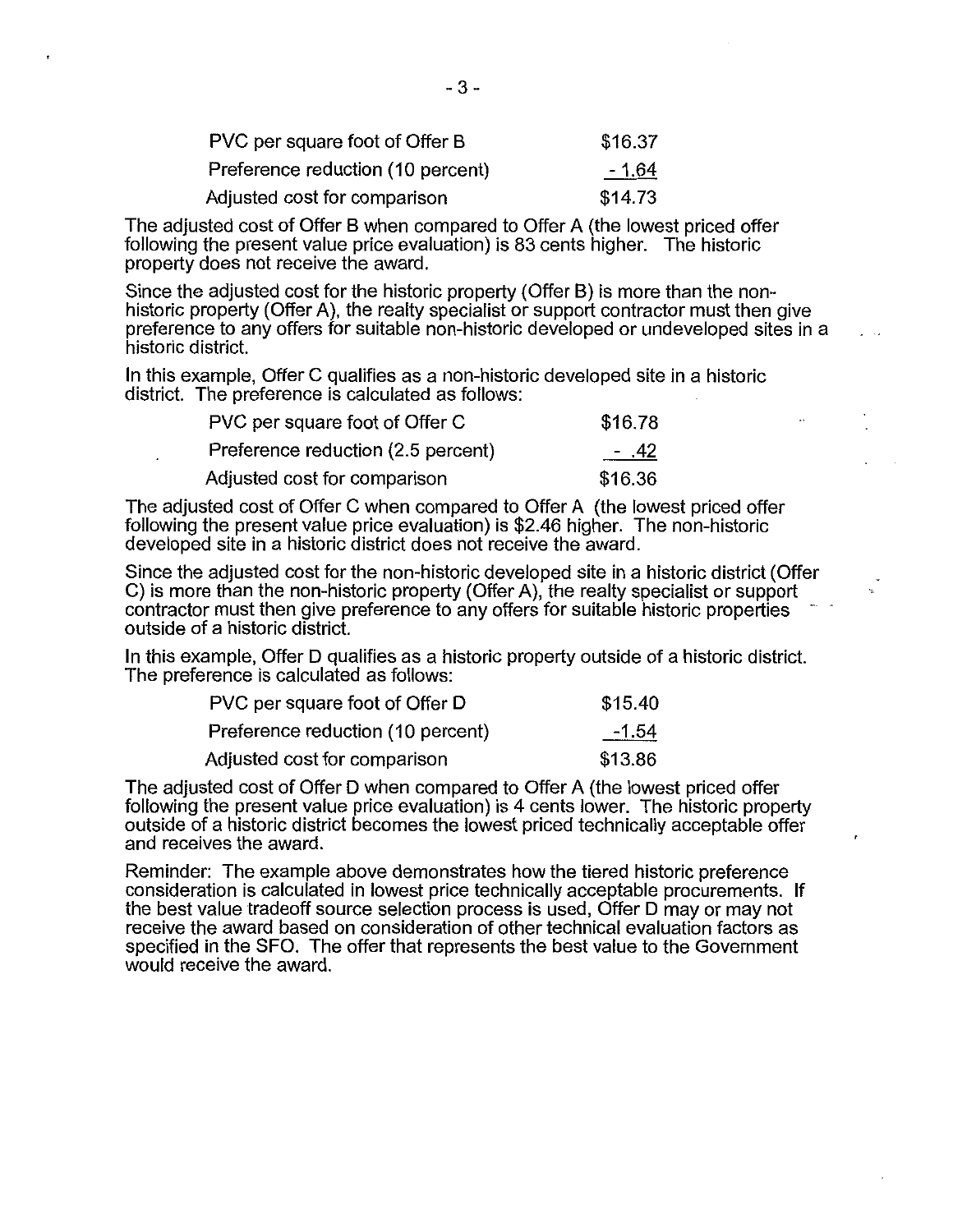| PVC per square foot of Offer B    | \$16.37        |
|-----------------------------------|----------------|
| Preference reduction (10 percent) | <u> 1.64 -</u> |
| Adjusted cost for comparison      | \$14.73        |

The adjusted cost of Offer B when compared to Offer A (the lowest priced offer following the present value price evaluation) is 83 cents higher. The historic property does not receive the award.

Since the adjusted cost for the historic property (Offer B) is more than the nonhistoric property (Offer A), the realty specialist or support contractor must then give preference to any offers for suitable non-historic developed or undeveloped sites in a historic district.

In this example, Offer C qualifies as a non-historic developed site in a historic district. The preference is calculated as follows:

| PVC per square foot of Offer C     | \$16.78 |
|------------------------------------|---------|
| Preference reduction (2.5 percent) | - .42   |
| Adjusted cost for comparison       | \$16.36 |

The adjusted cost of Offer C when compared to Offer A (the lowest priced offer following the present value price evaluation) is \$2.46 higher. The non-historic developed site in a historic district does not receive the award.

Since the adjusted cost for the non-historic developed site in a historic district (Offer C) is more than the non-historic property (Offer A), the realty specialist or support contractor must then give preference to any offers for suitable historic properties outside of a historic district.

In this example, Offer D qualifies as a historic property outside of a historic district. The preference is calculated as follows:

| PVC per square foot of Offer D    | \$15.40 |
|-----------------------------------|---------|
| Preference reduction (10 percent) | $-1.54$ |
| Adjusted cost for comparison      | \$13.86 |

The adjusted cost of Offer D when compared to Offer A (the lowest priced offer following the present value price evaluation) is 4 cents lower. The historic property outside of a historic district becomes the lowest priced technically acceptable offer and receives the award.

Reminder: The example above demonstrates how the tiered historic preference consideration is calculated in lowest price technically acceptable procurements. If the best value tradeoff source selection process is used, Offer D may or may not receive the award based on consideration of other technical evaluation factors as specified in the SFO. The offer that represents the best value to the Government would receive the award.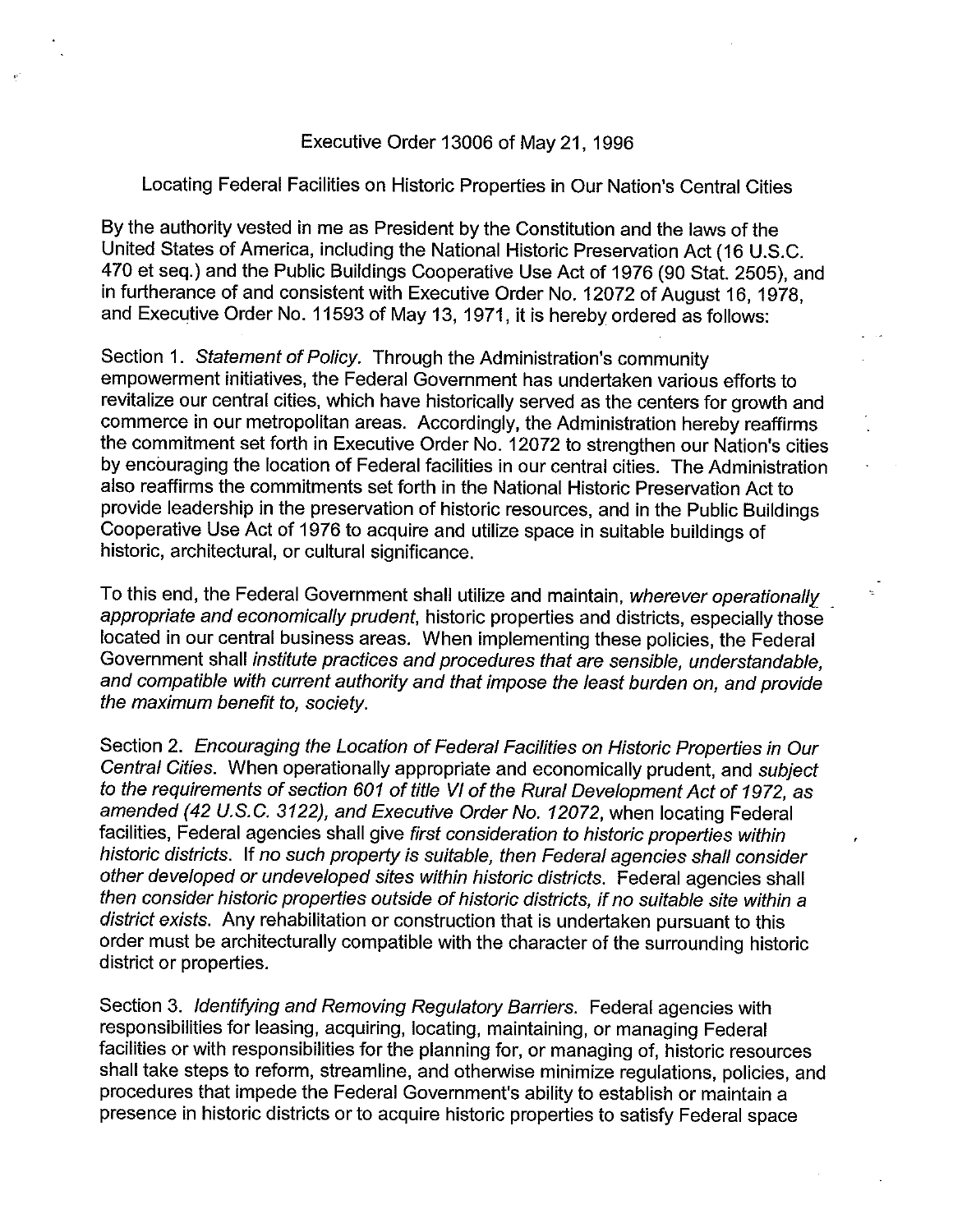## Executive Order 13006 of May 21, 1996

Locating Federal Facilities on Historic Properties in Our Nation's Central Cities

By the authority vested in me as President by the Constitution and the laws of the United States of America, including the National Historic Preservation Act (16 U.S.C. 470 et seq.) and the Public Buildings Cooperative Use Act of 1976 (90 Stat. 2505), and in furtherance of and consistent with Executive Order No. 12072 of August 16, 1978, and Executive Order No. 11593 of May 13, 1971, it is hereby ordered as follows:

Section 1. Statement of Policy. Through the Administration's community empowerment initiatives, the Federal Government has undertaken various efforts to revitalize our central cities, which have historically served as the centers for growth and commerce in our metropolitan areas. Accordingly, the Administration hereby reaffirms the commitment set forth in Executive Order No. 12072 to strengthen our Nation's cities by encouraging the location of Federal facilities in our central cities. The Administration also reaffirms the commitments set forth in the National Historic Preservation Act to provide leadership in the preservation of historic resources, and in the Public Buildings Cooperative Use Act of 1976 to acquire and utilize space in suitable buildings of historic, architectural, or cultural significance.

To this end, the Federal Government shall utilize and maintain, wherever operationally appropriate and economically prudent, historic properties and districts, especially those located in our central business areas. When implementing these policies, the Federal Government shall institute practices and procedures that are sensible, understandable, and compatible with current authority and that impose the least burden on, and provide the maximum benefit to, society.

Section 2. Encouraging the Location of Federal Facilities on Historic Properties in Our Central Cities. When operationally appropriate and economically prudent, and subject to the requirements of section 601 of title VI of the Rural Development Act of 1972, as amended (42 U.S.C. 3122), and Executive Order No. 12072, when locating Federal facilities, Federal agencies shall give first consideration to historic properties within historic districts. If no such property is suitable, then Federal agencies shall consider other developed or undeveloped sites within historic districts. Federal agencies shall then consider historic properties outside of historic districts, if no suitable site within a district exists. Any rehabilitation or construction that is undertaken pursuant to this order must be architecturally compatible with the character of the surrounding historic district or properties.

Section 3. Identifying and Removing Regulatory Barriers. Federal agencies with responsibilities for leasing, acquiring, locating, maintaining, or managing Federal facilities or with responsibilities for the planning for, or managing of, historic resources shall take steps to reform, streamline, and otherwise minimize regulations, policies, and procedures that impede the Federal Government's ability to establish or maintain a presence in historic districts or to acquire historic properties to satisfy Federal space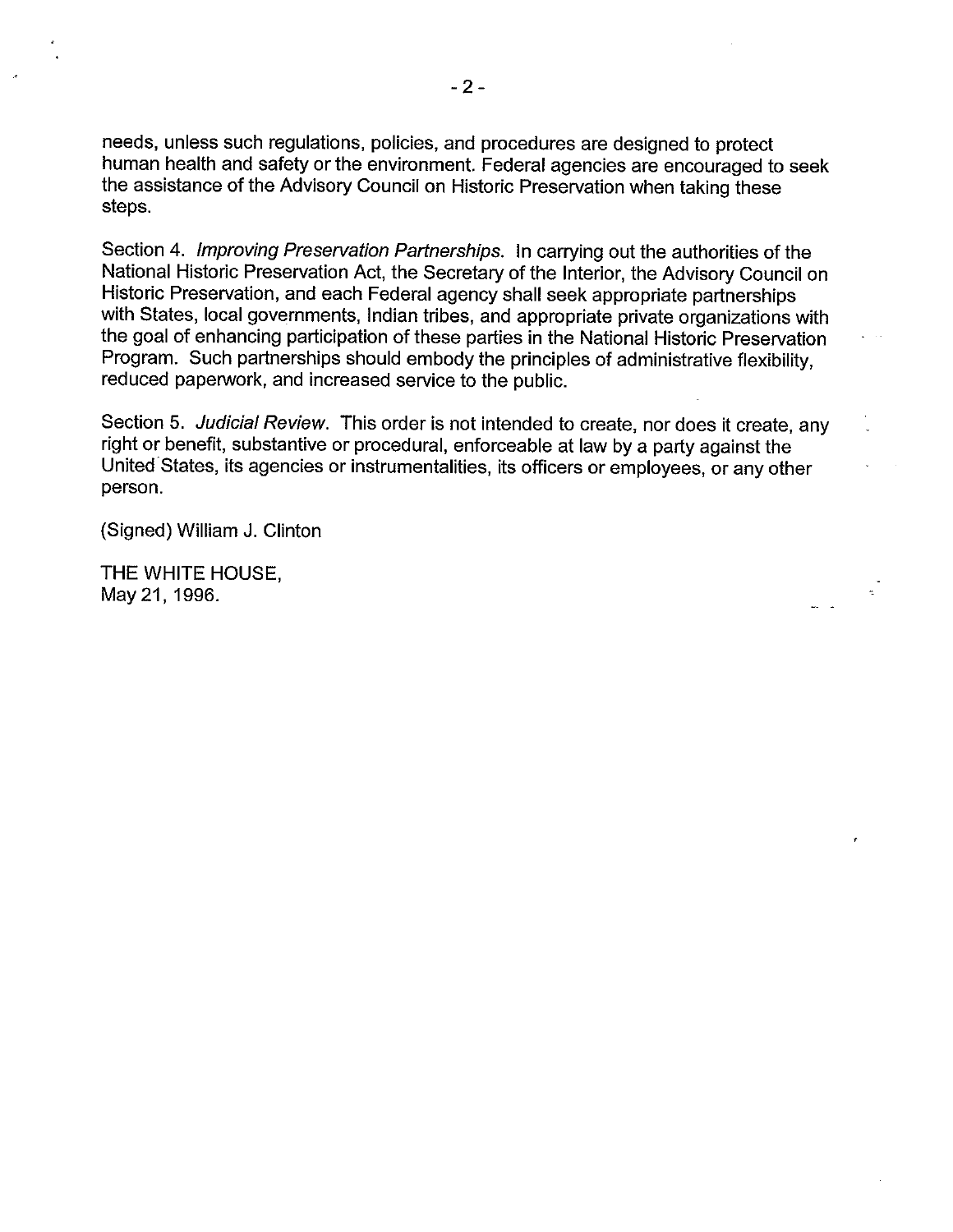needs, unless such regulations, policies, and procedures are designed to protect human health and safety or the environment. Federal agencies are encouraged to seek the assistance of the Advisory Council on Historic Preservation when taking these steps.

Section 4. Improving Preservation Partnerships. In carrying out the authorities of the National Historic Preservation Act, the Secretary of the Interior, the Advisory Council on Historic Preservation, and each Federal agency shall seek appropriate partnerships with States, local governments, Indian tribes, and appropriate private organizations with the goal of enhancing participation of these parties in the National Historic Preservation Program. Such partnerships should embody the principles of administrative flexibility, reduced paperwork, and increased service to the public.

Section 5. Judicial Review. This order is not intended to create, nor does it create, any right or benefit, substantive or procedural, enforceable at law by a party against the United States, its agencies or instrumentalities, its officers or employees, or any other person.

(Signed) William J. Clinton

THE WHITE HOUSE, May 21, 1996.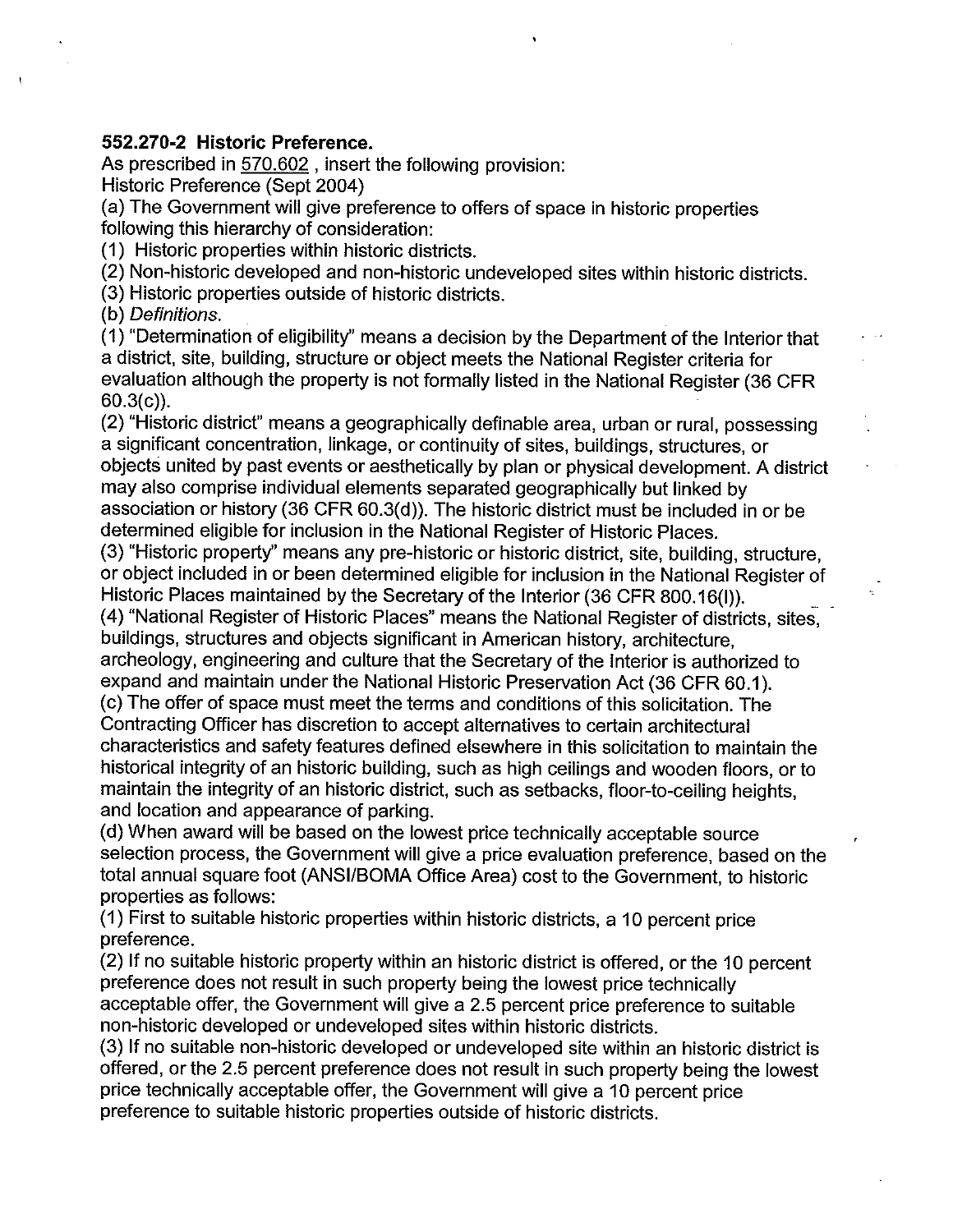## **552.270-2 Historic Preference.**

As prescribed in 570.602 , insert the following provision: Historic Preference (Sept 2004)

(a) The Government will give preference to offers of space in historic properties following this hierarchy of consideration:

(1) Historic properties within historic districts.

(2) Non-historic developed and non-historic undeveloped sites within historic districts.

(3) Historic properties outside of historic districts.

(b) Definitions.

 $\mathfrak{k}$ 

(1) "Determination of eligibility" means a decision by the Department of the Interior that a district, site, building, structure or object meets the National Register criteria for evaluation although the property is not formally listed in the National Register (36 CFR 60.3(c)).

(2) "Historic district" means a geographically definable area, urban or rural, possessing a significant concentration, linkage, or continuity of sites, buildings, structures, or objects united by past events or aesthetically by plan or physical development. A district may also comprise individual elements separated geographically but linked by association or history (36 CFR 60.3(d)). The historic district must be included in or be determined eligible for inclusion in the National Register of Historic Places.

(3) "Historic property" means any pre-historic or historic district, site, building, structure, or object included in or been determined eligible for inclusion in the National Register of Historic Places maintained by the Secretary of the Interior (36 CFR 800.16(I)).

(4) "National Register of Historic Places" means the National Register of districts, sites, buildings, structures and objects significant in American history, architecture,

archeology, engineering and culture that the Secretary of the Interior is authorized to expand and maintain under the National Historic Preservation Act (36 CFR 60.1).

(c) The offer of space must meet the terms and conditions of this solicitation. The Contracting Officer has discretion to accept alternatives to certain architectural characteristics and safety features defined elsewhere in this solicitation to maintain the historical integrity of an historic building, such as high ceilings and wooden floors, or to maintain the integrity of an historic district, such as setbacks, floor-to-ceiling heights, and location and appearance of parking.

(d) When award will be based on the lowest price technically acceptable source selection process, the Government will give a price evaluation preference, based on the total annual square foot (ANSI/BOMA Office Area) cost to the Government, to historic properties as follows:

(1) First to suitable historic properties within historic districts, a 10 percent price preference.

(2) If no suitable historic property within an historic district is offered, or the 10 percent preference does not result in such property being the lowest price technically acceptable offer, the Government will give a 2.5 percent price preference to suitable non-historic developed or undeveloped sites within historic districts.

(3) If no suitable non-historic developed or undeveloped site within an historic district is offered, or the 2.5 percent preference does not result in such property being the lowest price technically acceptable offer, the Government will give a 10 percent price preference to suitable historic properties outside of historic districts.